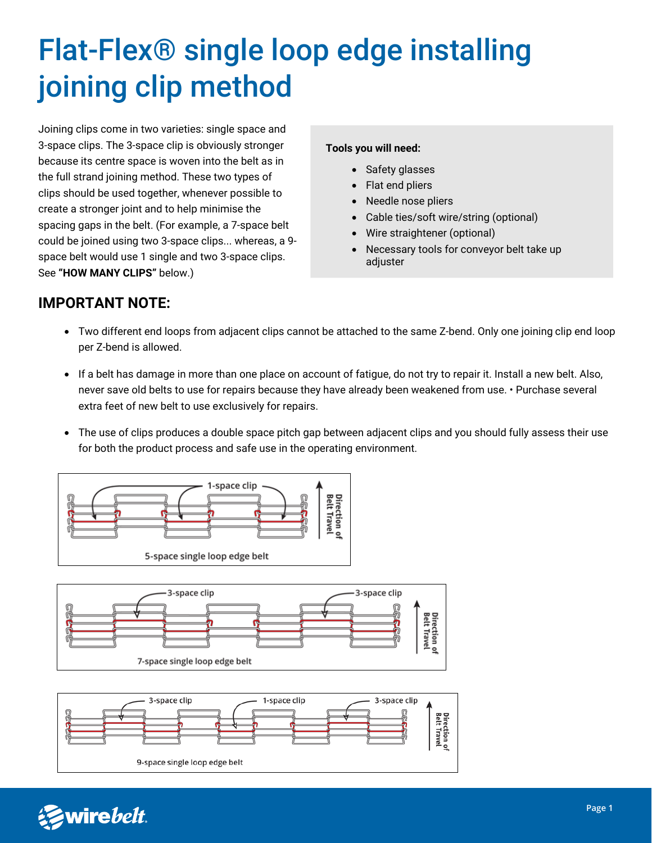# Flat-Flex® single loop edge installing joining clip method

Joining clips come in two varieties: single space and 3-space clips. The 3-space clip is obviously stronger because its centre space is woven into the belt as in the full strand joining method. These two types of clips should be used together, whenever possible to create a stronger joint and to help minimise the spacing gaps in the belt. (For example, a 7-space belt could be joined using two 3-space clips... whereas, a 9 space belt would use 1 single and two 3-space clips. See **"HOW MANY CLIPS"** below.)

#### **Tools you will need:**

- Safety glasses
- Flat end pliers
- Needle nose pliers
- Cable ties/soft wire/string (optional)
- Wire straightener (optional)
- Necessary tools for conveyor belt take up adjuster

## **IMPORTANT NOTE:**

- Two different end loops from adjacent clips cannot be attached to the same Z-bend. Only one joining clip end loop per Z-bend is allowed.
- If a belt has damage in more than one place on account of fatigue, do not try to repair it. Install a new belt. Also, never save old belts to use for repairs because they have already been weakened from use. • Purchase several extra feet of new belt to use exclusively for repairs.
- The use of clips produces a double space pitch gap between adjacent clips and you should fully assess their use for both the product process and safe use in the operating environment.



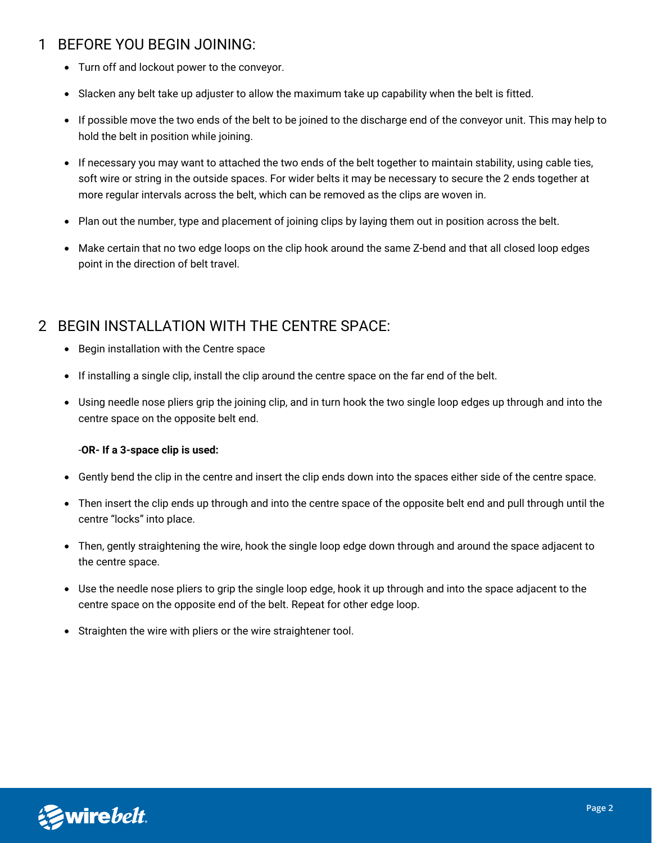# 1 BEFORE YOU BEGIN JOINING:

- Turn off and lockout power to the conveyor.
- Slacken any belt take up adjuster to allow the maximum take up capability when the belt is fitted.
- If possible move the two ends of the belt to be joined to the discharge end of the conveyor unit. This may help to hold the belt in position while joining.
- If necessary you may want to attached the two ends of the belt together to maintain stability, using cable ties, soft wire or string in the outside spaces. For wider belts it may be necessary to secure the 2 ends together at more regular intervals across the belt, which can be removed as the clips are woven in.
- Plan out the number, type and placement of joining clips by laying them out in position across the belt.
- Make certain that no two edge loops on the clip hook around the same Z-bend and that all closed loop edges point in the direction of belt travel.

# 2 BEGIN INSTALLATION WITH THE CENTRE SPACE:

- Begin installation with the Centre space
- If installing a single clip, install the clip around the centre space on the far end of the belt.
- Using needle nose pliers grip the joining clip, and in turn hook the two single loop edges up through and into the centre space on the opposite belt end.

#### -**OR- If a 3-space clip is used:**

- Gently bend the clip in the centre and insert the clip ends down into the spaces either side of the centre space.
- Then insert the clip ends up through and into the centre space of the opposite belt end and pull through until the centre "locks" into place.
- Then, gently straightening the wire, hook the single loop edge down through and around the space adjacent to the centre space.
- Use the needle nose pliers to grip the single loop edge, hook it up through and into the space adjacent to the centre space on the opposite end of the belt. Repeat for other edge loop.
- Straighten the wire with pliers or the wire straightener tool.

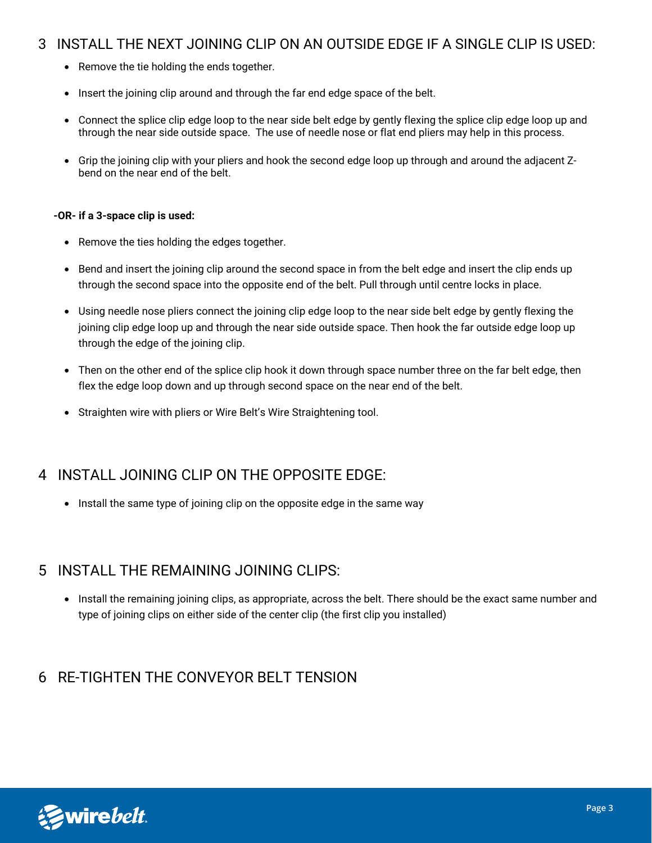## 3 INSTALL THE NEXT JOINING CLIP ON AN OUTSIDE EDGE IF A SINGLE CLIP IS USED:

- Remove the tie holding the ends together.
- Insert the joining clip around and through the far end edge space of the belt.
- Connect the splice clip edge loop to the near side belt edge by gently flexing the splice clip edge loop up and through the near side outside space. The use of needle nose or flat end pliers may help in this process.
- Grip the joining clip with your pliers and hook the second edge loop up through and around the adjacent Zbend on the near end of the belt.

#### **-OR- if a 3-space clip is used:**

- Remove the ties holding the edges together.
- Bend and insert the joining clip around the second space in from the belt edge and insert the clip ends up through the second space into the opposite end of the belt. Pull through until centre locks in place.
- Using needle nose pliers connect the joining clip edge loop to the near side belt edge by gently flexing the joining clip edge loop up and through the near side outside space. Then hook the far outside edge loop up through the edge of the joining clip.
- Then on the other end of the splice clip hook it down through space number three on the far belt edge, then flex the edge loop down and up through second space on the near end of the belt.
- Straighten wire with pliers or Wire Belt's Wire Straightening tool.

## 4 INSTALL JOINING CLIP ON THE OPPOSITE EDGE:

• Install the same type of joining clip on the opposite edge in the same way

#### 5 INSTALL THE REMAINING JOINING CLIPS:

• Install the remaining joining clips, as appropriate, across the belt. There should be the exact same number and type of joining clips on either side of the center clip (the first clip you installed)

## 6 RE-TIGHTEN THE CONVEYOR BELT TENSION